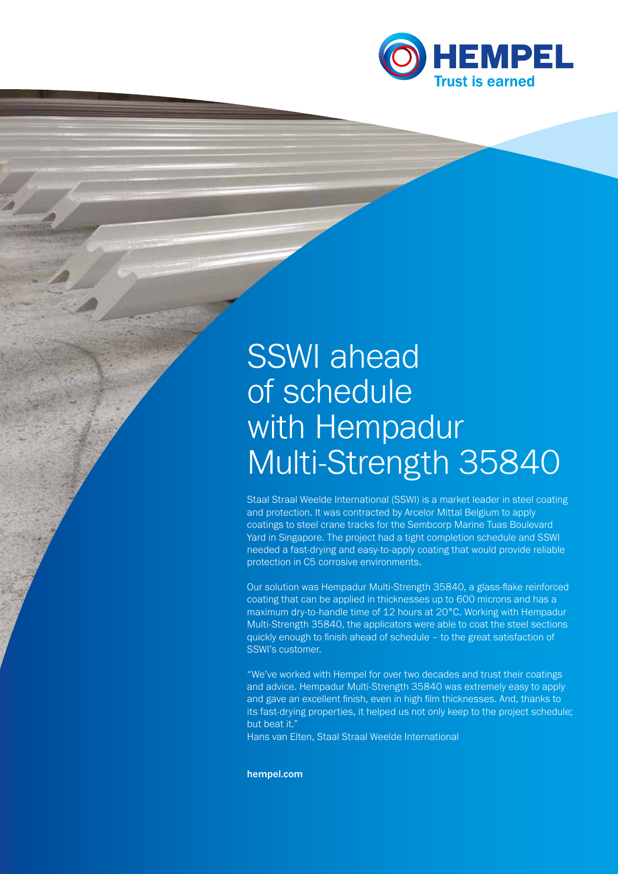

# SSWI ahead of schedule with Hempadur Multi-Strength 35840

Staal Straal Weelde International (SSWI) is a market leader in steel coating and protection. It was contracted by Arcelor Mittal Belgium to apply coatings to steel crane tracks for the Sembcorp Marine Tuas Boulevard Yard in Singapore. The project had a tight completion schedule and SSWI needed a fast-drying and easy-to-apply coating that would provide reliable protection in C5 corrosive environments.

Our solution was Hempadur Multi-Strength 35840, a glass-flake reinforced coating that can be applied in thicknesses up to 600 microns and has a maximum dry-to-handle time of 12 hours at 20°C. Working with Hempadur Multi-Strength 35840, the applicators were able to coat the steel sections quickly enough to finish ahead of schedule – to the great satisfaction of SSWI's customer.

"We've worked with Hempel for over two decades and trust their coatings and advice. Hempadur Multi-Strength 35840 was extremely easy to apply and gave an excellent finish, even in high film thicknesses. And, thanks to its fast-drying properties, it helped us not only keep to the project schedule; but beat it."

Hans van Elten, Staal Straal Weelde International

hempel.com